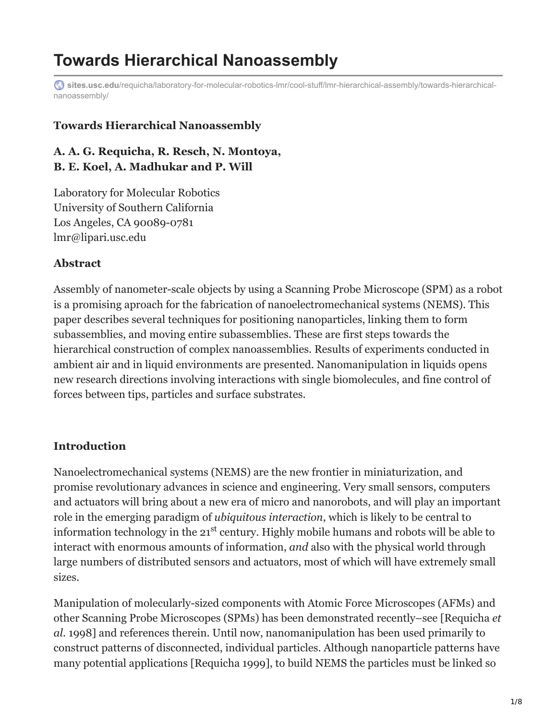# **Towards Hierarchical Nanoassembly**

**sites.usc.edu**[/requicha/laboratory-for-molecular-robotics-lmr/cool-stuff/lmr-hierarchical-assembly/towards-hierarchical](https://sites.usc.edu/requicha/laboratory-for-molecular-robotics-lmr/cool-stuff/lmr-hierarchical-assembly/towards-hierarchical-nanoassembly/)nanoassembly/

#### **Towards Hierarchical Nanoassembly**

### **A. A. G. Requicha, R. Resch, N. Montoya, B. E. Koel, A. Madhukar and P. Will**

Laboratory for Molecular Robotics University of Southern California Los Angeles, CA 90089-0781 lmr@lipari.usc.edu

#### **Abstract**

Assembly of nanometer-scale objects by using a Scanning Probe Microscope (SPM) as a robot is a promising aproach for the fabrication of nanoelectromechanical systems (NEMS). This paper describes several techniques for positioning nanoparticles, linking them to form subassemblies, and moving entire subassemblies. These are first steps towards the hierarchical construction of complex nanoassemblies. Results of experiments conducted in ambient air and in liquid environments are presented. Nanomanipulation in liquids opens new research directions involving interactions with single biomolecules, and fine control of forces between tips, particles and surface substrates.

### **Introduction**

Nanoelectromechanical systems (NEMS) are the new frontier in miniaturization, and promise revolutionary advances in science and engineering. Very small sensors, computers and actuators will bring about a new era of micro and nanorobots, and will play an important role in the emerging paradigm of *ubiquitous interaction*, which is likely to be central to information technology in the  $21<sup>st</sup>$  century. Highly mobile humans and robots will be able to interact with enormous amounts of information, *and* also with the physical world through large numbers of distributed sensors and actuators, most of which will have extremely small sizes.

Manipulation of molecularly-sized components with Atomic Force Microscopes (AFMs) and other Scanning Probe Microscopes (SPMs) has been demonstrated recently–see [Requicha *et al.* 1998] and references therein. Until now, nanomanipulation has been used primarily to construct patterns of disconnected, individual particles. Although nanoparticle patterns have many potential applications [Requicha 1999], to build NEMS the particles must be linked so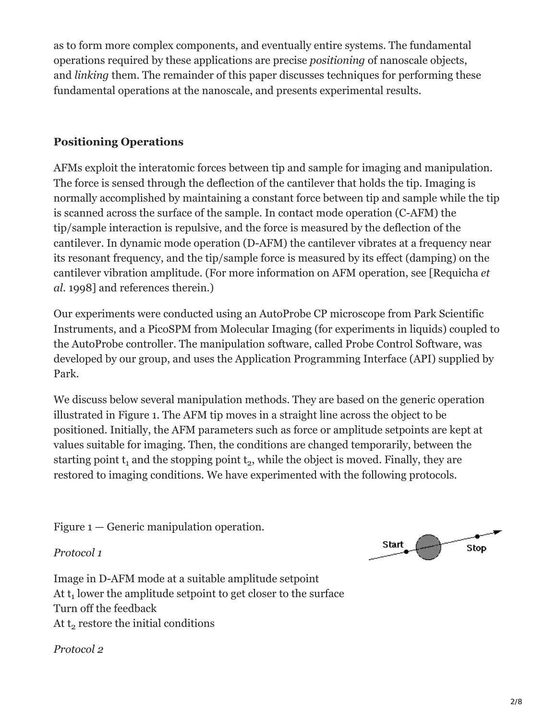as to form more complex components, and eventually entire systems. The fundamental operations required by these applications are precise *positioning* of nanoscale objects, and *linking* them. The remainder of this paper discusses techniques for performing these fundamental operations at the nanoscale, and presents experimental results.

# **Positioning Operations**

AFMs exploit the interatomic forces between tip and sample for imaging and manipulation. The force is sensed through the deflection of the cantilever that holds the tip. Imaging is normally accomplished by maintaining a constant force between tip and sample while the tip is scanned across the surface of the sample. In contact mode operation (C-AFM) the tip/sample interaction is repulsive, and the force is measured by the deflection of the cantilever. In dynamic mode operation (D-AFM) the cantilever vibrates at a frequency near its resonant frequency, and the tip/sample force is measured by its effect (damping) on the cantilever vibration amplitude. (For more information on AFM operation, see [Requicha *et al.* 1998] and references therein.)

Our experiments were conducted using an AutoProbe CP microscope from Park Scientific Instruments, and a PicoSPM from Molecular Imaging (for experiments in liquids) coupled to the AutoProbe controller. The manipulation software, called Probe Control Software, was developed by our group, and uses the Application Programming Interface (API) supplied by Park.

We discuss below several manipulation methods. They are based on the generic operation illustrated in Figure 1. The AFM tip moves in a straight line across the object to be positioned. Initially, the AFM parameters such as force or amplitude setpoints are kept at values suitable for imaging. Then, the conditions are changed temporarily, between the starting point  $t_1$  and the stopping point  $t_2$ , while the object is moved. Finally, they are restored to imaging conditions. We have experimented with the following protocols.

Figure 1 — Generic manipulation operation.

*Protocol 1*



Image in D-AFM mode at a suitable amplitude setpoint At  $t_1$  lower the amplitude setpoint to get closer to the surface Turn off the feedback At  $t_2$  restore the initial conditions

*Protocol 2*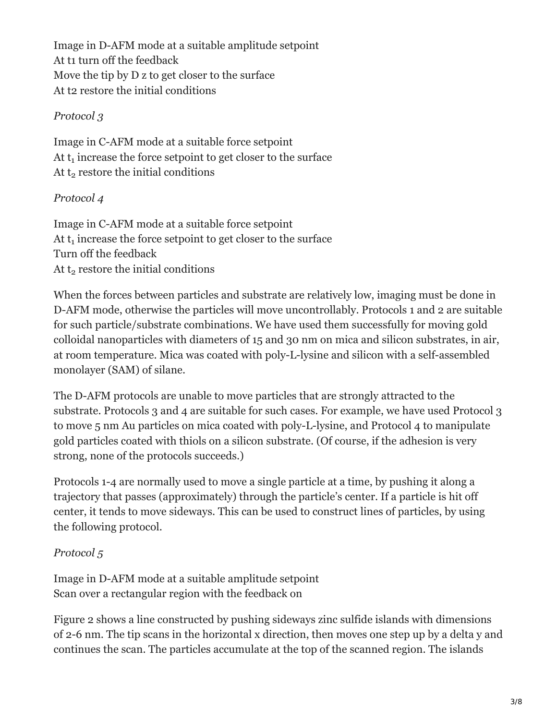Image in D-AFM mode at a suitable amplitude setpoint At t1 turn off the feedback Move the tip by D z to get closer to the surface At t2 restore the initial conditions

## *Protocol 3*

Image in C-AFM mode at a suitable force setpoint At  $t_1$  increase the force setpoint to get closer to the surface At  $t_2$  restore the initial conditions

# *Protocol 4*

Image in C-AFM mode at a suitable force setpoint At  $t_1$  increase the force setpoint to get closer to the surface Turn off the feedback At  $t_2$  restore the initial conditions

When the forces between particles and substrate are relatively low, imaging must be done in D-AFM mode, otherwise the particles will move uncontrollably. Protocols 1 and 2 are suitable for such particle/substrate combinations. We have used them successfully for moving gold colloidal nanoparticles with diameters of 15 and 30 nm on mica and silicon substrates, in air, at room temperature. Mica was coated with poly-L-lysine and silicon with a self-assembled monolayer (SAM) of silane.

The D-AFM protocols are unable to move particles that are strongly attracted to the substrate. Protocols 3 and 4 are suitable for such cases. For example, we have used Protocol 3 to move 5 nm Au particles on mica coated with poly-L-lysine, and Protocol 4 to manipulate gold particles coated with thiols on a silicon substrate. (Of course, if the adhesion is very strong, none of the protocols succeeds.)

Protocols 1-4 are normally used to move a single particle at a time, by pushing it along a trajectory that passes (approximately) through the particle's center. If a particle is hit off center, it tends to move sideways. This can be used to construct lines of particles, by using the following protocol.

# *Protocol 5*

Image in D-AFM mode at a suitable amplitude setpoint Scan over a rectangular region with the feedback on

Figure 2 shows a line constructed by pushing sideways zinc sulfide islands with dimensions of 2-6 nm. The tip scans in the horizontal x direction, then moves one step up by a delta y and continues the scan. The particles accumulate at the top of the scanned region. The islands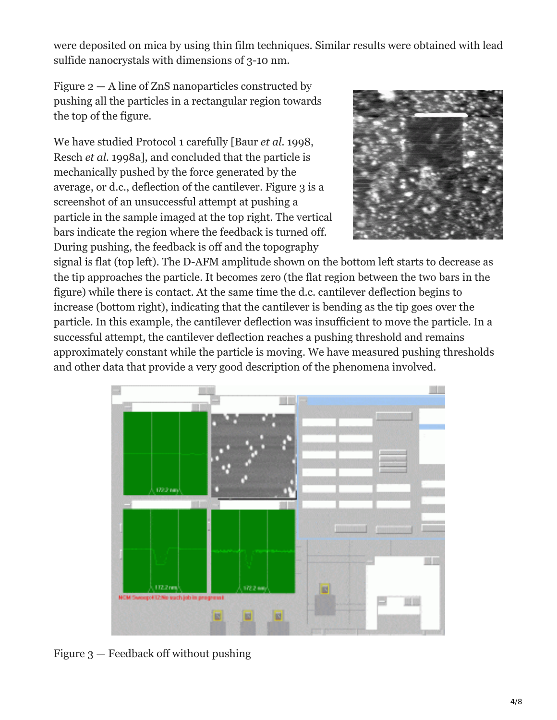were deposited on mica by using thin film techniques. Similar results were obtained with lead sulfide nanocrystals with dimensions of 3-10 nm.

Figure  $2 - A$  line of ZnS nanoparticles constructed by pushing all the particles in a rectangular region towards the top of the figure.

We have studied Protocol 1 carefully [Baur *et al.* 1998, Resch *et al.* 1998a], and concluded that the particle is mechanically pushed by the force generated by the average, or d.c., deflection of the cantilever. Figure 3 is a screenshot of an unsuccessful attempt at pushing a particle in the sample imaged at the top right. The vertical bars indicate the region where the feedback is turned off. During pushing, the feedback is off and the topography



signal is flat (top left). The D-AFM amplitude shown on the bottom left starts to decrease as the tip approaches the particle. It becomes zero (the flat region between the two bars in the figure) while there is contact. At the same time the d.c. cantilever deflection begins to increase (bottom right), indicating that the cantilever is bending as the tip goes over the particle. In this example, the cantilever deflection was insufficient to move the particle. In a successful attempt, the cantilever deflection reaches a pushing threshold and remains approximately constant while the particle is moving. We have measured pushing thresholds and other data that provide a very good description of the phenomena involved.



Figure 3 — Feedback off without pushing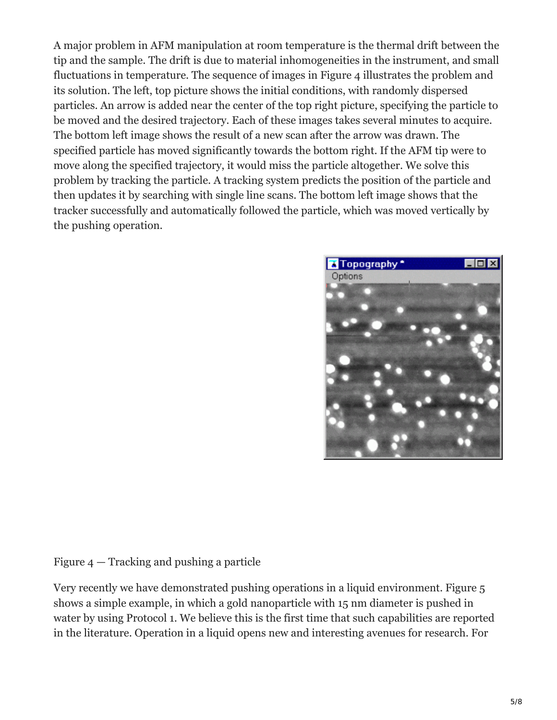A major problem in AFM manipulation at room temperature is the thermal drift between the tip and the sample. The drift is due to material inhomogeneities in the instrument, and small fluctuations in temperature. The sequence of images in Figure 4 illustrates the problem and its solution. The left, top picture shows the initial conditions, with randomly dispersed particles. An arrow is added near the center of the top right picture, specifying the particle to be moved and the desired trajectory. Each of these images takes several minutes to acquire. The bottom left image shows the result of a new scan after the arrow was drawn. The specified particle has moved significantly towards the bottom right. If the AFM tip were to move along the specified trajectory, it would miss the particle altogether. We solve this problem by tracking the particle. A tracking system predicts the position of the particle and then updates it by searching with single line scans. The bottom left image shows that the tracker successfully and automatically followed the particle, which was moved vertically by the pushing operation.



Figure 4 — Tracking and pushing a particle

Very recently we have demonstrated pushing operations in a liquid environment. Figure 5 shows a simple example, in which a gold nanoparticle with 15 nm diameter is pushed in water by using Protocol 1. We believe this is the first time that such capabilities are reported in the literature. Operation in a liquid opens new and interesting avenues for research. For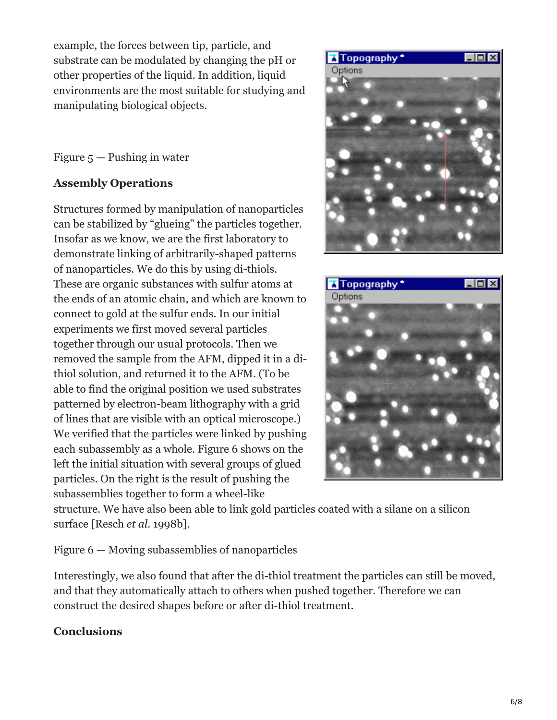example, the forces between tip, particle, and substrate can be modulated by changing the pH or other properties of the liquid. In addition, liquid environments are the most suitable for studying and manipulating biological objects.

Figure  $5$  — Pushing in water

# **Assembly Operations**

Structures formed by manipulation of nanoparticles can be stabilized by "glueing" the particles together. Insofar as we know, we are the first laboratory to demonstrate linking of arbitrarily-shaped patterns of nanoparticles. We do this by using di-thiols. These are organic substances with sulfur atoms at the ends of an atomic chain, and which are known to connect to gold at the sulfur ends. In our initial experiments we first moved several particles together through our usual protocols. Then we removed the sample from the AFM, dipped it in a dithiol solution, and returned it to the AFM. (To be able to find the original position we used substrates patterned by electron-beam lithography with a grid of lines that are visible with an optical microscope.) We verified that the particles were linked by pushing each subassembly as a whole. Figure 6 shows on the left the initial situation with several groups of glued particles. On the right is the result of pushing the subassemblies together to form a wheel-like





structure. We have also been able to link gold particles coated with a silane on a silicon surface [Resch *et al.* 1998b].

Figure 6 — Moving subassemblies of nanoparticles

Interestingly, we also found that after the di-thiol treatment the particles can still be moved, and that they automatically attach to others when pushed together. Therefore we can construct the desired shapes before or after di-thiol treatment.

# **Conclusions**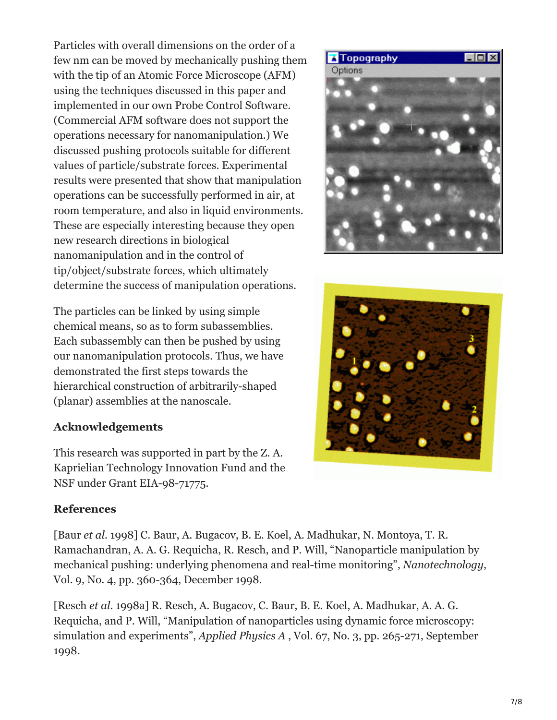Particles with overall dimensions on the order of a few nm can be moved by mechanically pushing them with the tip of an Atomic Force Microscope (AFM) using the techniques discussed in this paper and implemented in our own Probe Control Software. (Commercial AFM software does not support the operations necessary for nanomanipulation.) We discussed pushing protocols suitable for different values of particle/substrate forces. Experimental results were presented that show that manipulation operations can be successfully performed in air, at room temperature, and also in liquid environments. These are especially interesting because they open new research directions in biological nanomanipulation and in the control of tip/object/substrate forces, which ultimately determine the success of manipulation operations.

The particles can be linked by using simple chemical means, so as to form subassemblies. Each subassembly can then be pushed by using our nanomanipulation protocols. Thus, we have demonstrated the first steps towards the hierarchical construction of arbitrarily-shaped (planar) assemblies at the nanoscale.

### **Acknowledgements**

This research was supported in part by the Z. A. Kaprielian Technology Innovation Fund and the NSF under Grant EIA-98-71775.

### **References**

[Baur *et al.* 1998] C. Baur, A. Bugacov, B. E. Koel, A. Madhukar, N. Montoya, T. R. Ramachandran, A. A. G. Requicha, R. Resch, and P. Will, "Nanoparticle manipulation by mechanical pushing: underlying phenomena and real-time monitoring", *Nanotechnology*, Vol. 9, No. 4, pp. 360-364, December 1998.

[Resch *et al.* 1998a] R. Resch, A. Bugacov, C. Baur, B. E. Koel, A. Madhukar, A. A. G. Requicha, and P. Will, "Manipulation of nanoparticles using dynamic force microscopy: simulation and experiments", *Applied Physics A* , Vol. 67, No. 3, pp. 265-271, September 1998.